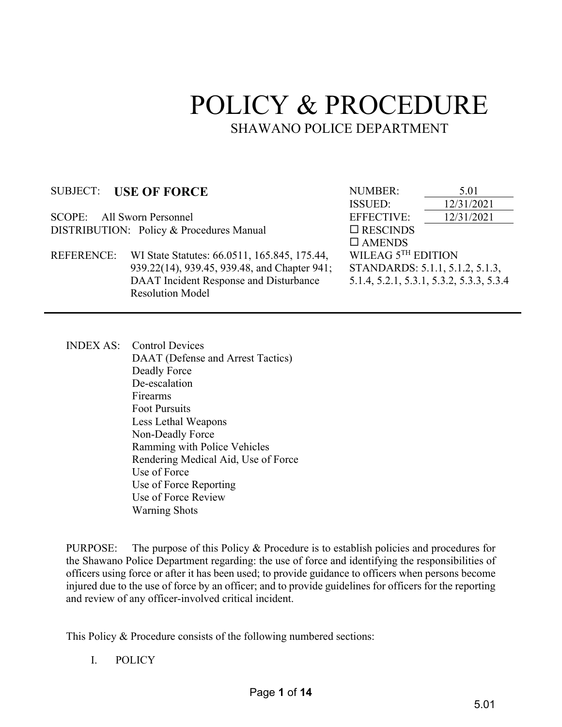# POLICY & PROCEDURE SHAWANO POLICE DEPARTMENT

SCOPE: All Sworn Personnel EFFECTIVE: 12/31/2021 DISTRIBUTION: Policy & Procedures Manual RESCINDS

 REFERENCE: WI State Statutes: 66.0511, 165.845, 175.44, 939.22(14), 939.45, 939.48, and Chapter 941; DAAT Incident Response and Disturbance Resolution Model

SUBJECT: USE OF FORCE NUMBER:  $\frac{5.01}{12/31/20}$ ISSUED: 12/31/2021  $\square$  AMENDS WILEAG  $5^{TH}$  EDITION STANDARDS: 5.1.1, 5.1.2, 5.1.3, 5.1.4, 5.2.1, 5.3.1, 5.3.2, 5.3.3, 5.3.4

INDEX AS: Control Devices DAAT (Defense and Arrest Tactics) Deadly Force De-escalation Firearms Foot Pursuits Less Lethal Weapons Non-Deadly Force Ramming with Police Vehicles Rendering Medical Aid, Use of Force Use of Force Use of Force Reporting Use of Force Review Warning Shots

PURPOSE: The purpose of this Policy & Procedure is to establish policies and procedures for the Shawano Police Department regarding: the use of force and identifying the responsibilities of officers using force or after it has been used; to provide guidance to officers when persons become injured due to the use of force by an officer; and to provide guidelines for officers for the reporting and review of any officer-involved critical incident.

This Policy & Procedure consists of the following numbered sections:

I. POLICY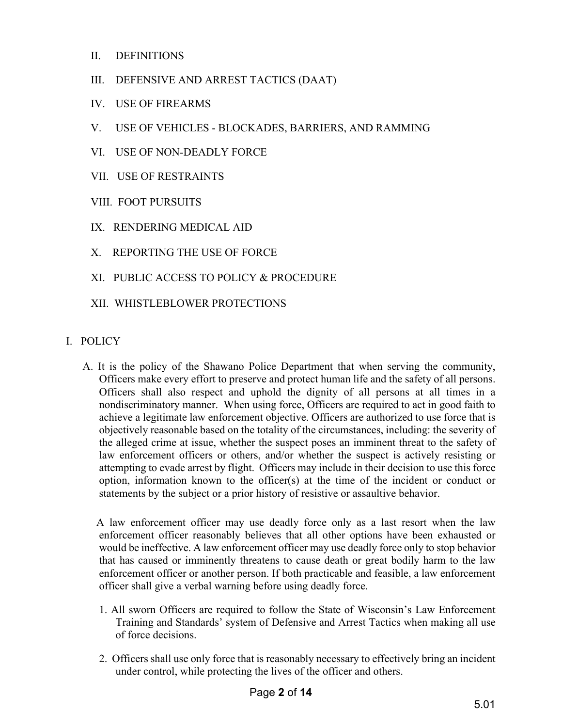- II. DEFINITIONS
- III. DEFENSIVE AND ARREST TACTICS (DAAT)
- IV. USE OF FIREARMS
- V. USE OF VEHICLES BLOCKADES, BARRIERS, AND RAMMING
- VI. USE OF NON-DEADLY FORCE
- VII. USE OF RESTRAINTS
- VIII. FOOT PURSUITS
- IX. RENDERING MEDICAL AID
- X. REPORTING THE USE OF FORCE
- XI. PUBLIC ACCESS TO POLICY & PROCEDURE
- XII. WHISTLEBLOWER PROTECTIONS
- I. POLICY
	- A. It is the policy of the Shawano Police Department that when serving the community, Officers make every effort to preserve and protect human life and the safety of all persons. Officers shall also respect and uphold the dignity of all persons at all times in a nondiscriminatory manner. When using force, Officers are required to act in good faith to achieve a legitimate law enforcement objective. Officers are authorized to use force that is objectively reasonable based on the totality of the circumstances, including: the severity of the alleged crime at issue, whether the suspect poses an imminent threat to the safety of law enforcement officers or others, and/or whether the suspect is actively resisting or attempting to evade arrest by flight. Officers may include in their decision to use this force option, information known to the officer(s) at the time of the incident or conduct or statements by the subject or a prior history of resistive or assaultive behavior.

 A law enforcement officer may use deadly force only as a last resort when the law enforcement officer reasonably believes that all other options have been exhausted or would be ineffective. A law enforcement officer may use deadly force only to stop behavior that has caused or imminently threatens to cause death or great bodily harm to the law enforcement officer or another person. If both practicable and feasible, a law enforcement officer shall give a verbal warning before using deadly force.

- 1. All sworn Officers are required to follow the State of Wisconsin's Law Enforcement Training and Standards' system of Defensive and Arrest Tactics when making all use of force decisions.
- 2. Officers shall use only force that is reasonably necessary to effectively bring an incident under control, while protecting the lives of the officer and others.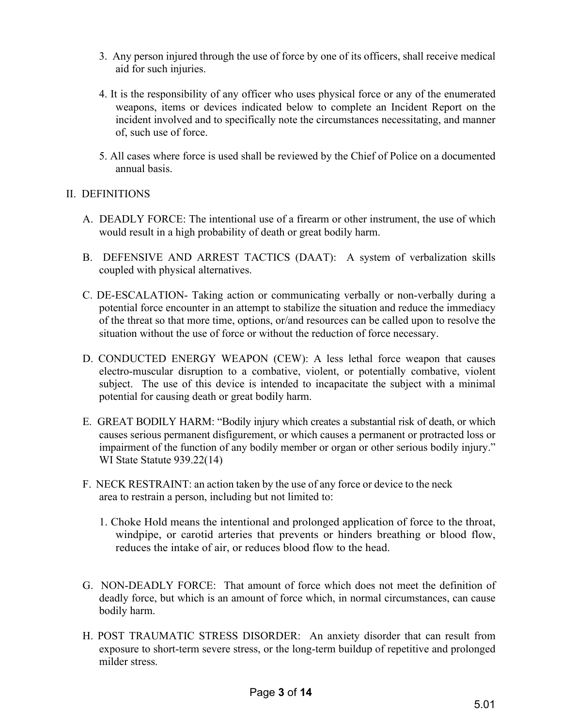- 3. Any person injured through the use of force by one of its officers, shall receive medical aid for such injuries.
- 4. It is the responsibility of any officer who uses physical force or any of the enumerated weapons, items or devices indicated below to complete an Incident Report on the incident involved and to specifically note the circumstances necessitating, and manner of, such use of force.
- 5. All cases where force is used shall be reviewed by the Chief of Police on a documented annual basis.

# II. DEFINITIONS

- A. DEADLY FORCE: The intentional use of a firearm or other instrument, the use of which would result in a high probability of death or great bodily harm.
- B. DEFENSIVE AND ARREST TACTICS (DAAT): A system of verbalization skills coupled with physical alternatives.
- C. DE-ESCALATION- Taking action or communicating verbally or non-verbally during a potential force encounter in an attempt to stabilize the situation and reduce the immediacy of the threat so that more time, options, or/and resources can be called upon to resolve the situation without the use of force or without the reduction of force necessary.
- D. CONDUCTED ENERGY WEAPON (CEW): A less lethal force weapon that causes electro-muscular disruption to a combative, violent, or potentially combative, violent subject. The use of this device is intended to incapacitate the subject with a minimal potential for causing death or great bodily harm.
- E. GREAT BODILY HARM: "Bodily injury which creates a substantial risk of death, or which causes serious permanent disfigurement, or which causes a permanent or protracted loss or impairment of the function of any bodily member or organ or other serious bodily injury." WI State Statute 939.22(14)
- F. NECK RESTRAINT: an action taken by the use of any force or device to the neck area to restrain a person, including but not limited to:
	- 1. Choke Hold means the intentional and prolonged application of force to the throat, windpipe, or carotid arteries that prevents or hinders breathing or blood flow, reduces the intake of air, or reduces blood flow to the head.
- G. NON-DEADLY FORCE: That amount of force which does not meet the definition of deadly force, but which is an amount of force which, in normal circumstances, can cause bodily harm.
- H. POST TRAUMATIC STRESS DISORDER: An anxiety disorder that can result from exposure to short-term severe stress, or the long-term buildup of repetitive and prolonged milder stress.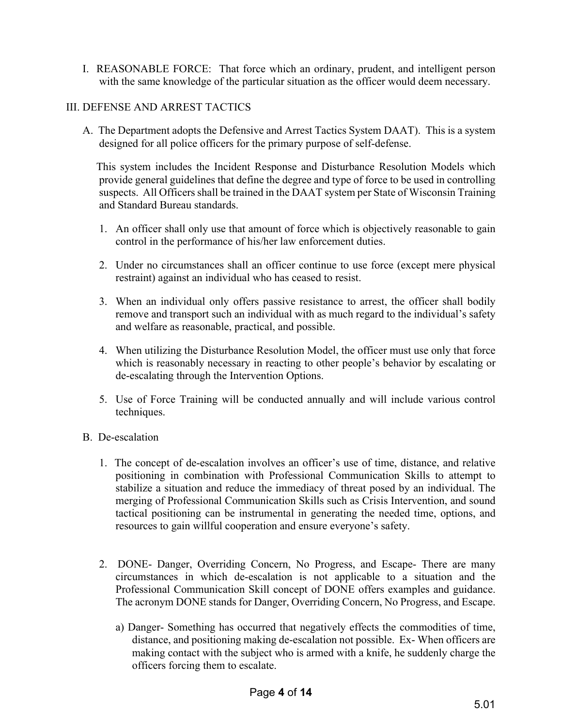I. REASONABLE FORCE: That force which an ordinary, prudent, and intelligent person with the same knowledge of the particular situation as the officer would deem necessary.

# III. DEFENSE AND ARREST TACTICS

A. The Department adopts the Defensive and Arrest Tactics System DAAT). This is a system designed for all police officers for the primary purpose of self-defense.

 This system includes the Incident Response and Disturbance Resolution Models which provide general guidelines that define the degree and type of force to be used in controlling suspects. All Officers shall be trained in the DAAT system per State of Wisconsin Training and Standard Bureau standards.

- 1. An officer shall only use that amount of force which is objectively reasonable to gain control in the performance of his/her law enforcement duties.
- 2. Under no circumstances shall an officer continue to use force (except mere physical restraint) against an individual who has ceased to resist.
- 3. When an individual only offers passive resistance to arrest, the officer shall bodily remove and transport such an individual with as much regard to the individual's safety and welfare as reasonable, practical, and possible.
- 4. When utilizing the Disturbance Resolution Model, the officer must use only that force which is reasonably necessary in reacting to other people's behavior by escalating or de-escalating through the Intervention Options.
- 5. Use of Force Training will be conducted annually and will include various control techniques.
- B. De-escalation
	- 1. The concept of de-escalation involves an officer's use of time, distance, and relative positioning in combination with Professional Communication Skills to attempt to stabilize a situation and reduce the immediacy of threat posed by an individual. The merging of Professional Communication Skills such as Crisis Intervention, and sound tactical positioning can be instrumental in generating the needed time, options, and resources to gain willful cooperation and ensure everyone's safety.
	- 2. DONE- Danger, Overriding Concern, No Progress, and Escape- There are many circumstances in which de-escalation is not applicable to a situation and the Professional Communication Skill concept of DONE offers examples and guidance. The acronym DONE stands for Danger, Overriding Concern, No Progress, and Escape.
		- a) Danger- Something has occurred that negatively effects the commodities of time, distance, and positioning making de-escalation not possible. Ex- When officers are making contact with the subject who is armed with a knife, he suddenly charge the officers forcing them to escalate.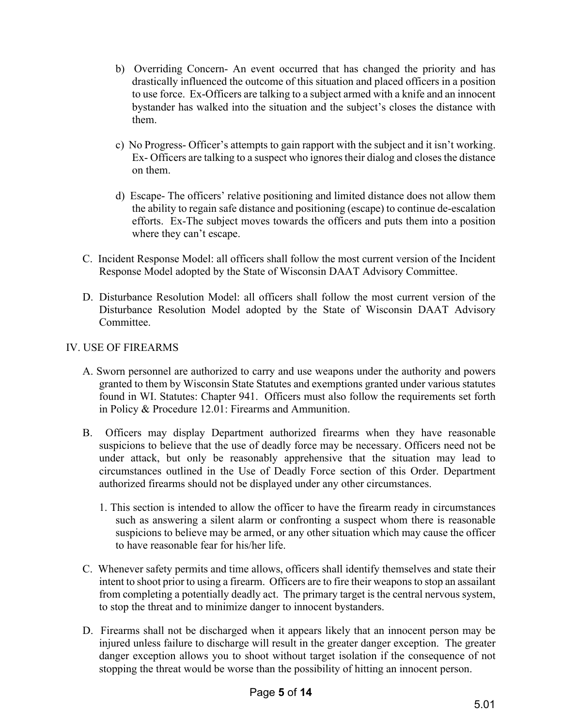- b) Overriding Concern- An event occurred that has changed the priority and has drastically influenced the outcome of this situation and placed officers in a position to use force. Ex-Officers are talking to a subject armed with a knife and an innocent bystander has walked into the situation and the subject's closes the distance with them.
- c) No Progress- Officer's attempts to gain rapport with the subject and it isn't working. Ex- Officers are talking to a suspect who ignores their dialog and closes the distance on them.
- d) Escape- The officers' relative positioning and limited distance does not allow them the ability to regain safe distance and positioning (escape) to continue de-escalation efforts. Ex-The subject moves towards the officers and puts them into a position where they can't escape.
- C. Incident Response Model: all officers shall follow the most current version of the Incident Response Model adopted by the State of Wisconsin DAAT Advisory Committee.
- D. Disturbance Resolution Model: all officers shall follow the most current version of the Disturbance Resolution Model adopted by the State of Wisconsin DAAT Advisory Committee.

### IV. USE OF FIREARMS

- A. Sworn personnel are authorized to carry and use weapons under the authority and powers granted to them by Wisconsin State Statutes and exemptions granted under various statutes found in WI. Statutes: Chapter 941. Officers must also follow the requirements set forth in Policy & Procedure 12.01: Firearms and Ammunition.
- B. Officers may display Department authorized firearms when they have reasonable suspicions to believe that the use of deadly force may be necessary. Officers need not be under attack, but only be reasonably apprehensive that the situation may lead to circumstances outlined in the Use of Deadly Force section of this Order. Department authorized firearms should not be displayed under any other circumstances.
	- 1. This section is intended to allow the officer to have the firearm ready in circumstances such as answering a silent alarm or confronting a suspect whom there is reasonable suspicions to believe may be armed, or any other situation which may cause the officer to have reasonable fear for his/her life.
- C. Whenever safety permits and time allows, officers shall identify themselves and state their intent to shoot prior to using a firearm. Officers are to fire their weapons to stop an assailant from completing a potentially deadly act. The primary target is the central nervous system, to stop the threat and to minimize danger to innocent bystanders.
- D. Firearms shall not be discharged when it appears likely that an innocent person may be injured unless failure to discharge will result in the greater danger exception. The greater danger exception allows you to shoot without target isolation if the consequence of not stopping the threat would be worse than the possibility of hitting an innocent person.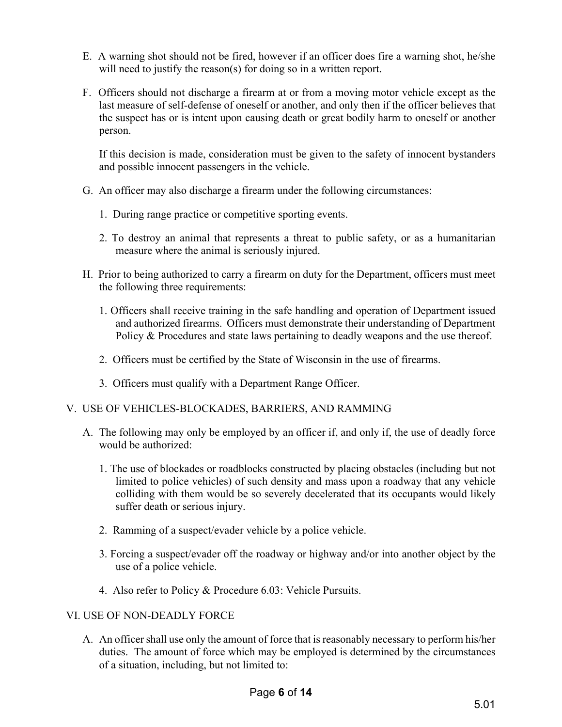- E. A warning shot should not be fired, however if an officer does fire a warning shot, he/she will need to justify the reason(s) for doing so in a written report.
- F. Officers should not discharge a firearm at or from a moving motor vehicle except as the last measure of self-defense of oneself or another, and only then if the officer believes that the suspect has or is intent upon causing death or great bodily harm to oneself or another person.

If this decision is made, consideration must be given to the safety of innocent bystanders and possible innocent passengers in the vehicle.

- G. An officer may also discharge a firearm under the following circumstances:
	- 1. During range practice or competitive sporting events.
	- 2. To destroy an animal that represents a threat to public safety, or as a humanitarian measure where the animal is seriously injured.
- H. Prior to being authorized to carry a firearm on duty for the Department, officers must meet the following three requirements:
	- 1. Officers shall receive training in the safe handling and operation of Department issued and authorized firearms. Officers must demonstrate their understanding of Department Policy & Procedures and state laws pertaining to deadly weapons and the use thereof.
	- 2. Officers must be certified by the State of Wisconsin in the use of firearms.
	- 3. Officers must qualify with a Department Range Officer.
- V. USE OF VEHICLES-BLOCKADES, BARRIERS, AND RAMMING
	- A. The following may only be employed by an officer if, and only if, the use of deadly force would be authorized:
		- 1. The use of blockades or roadblocks constructed by placing obstacles (including but not limited to police vehicles) of such density and mass upon a roadway that any vehicle colliding with them would be so severely decelerated that its occupants would likely suffer death or serious injury.
		- 2. Ramming of a suspect/evader vehicle by a police vehicle.
		- 3. Forcing a suspect/evader off the roadway or highway and/or into another object by the use of a police vehicle.
		- 4. Also refer to Policy & Procedure 6.03: Vehicle Pursuits.

# VI. USE OF NON-DEADLY FORCE

A. An officer shall use only the amount of force that is reasonably necessary to perform his/her duties. The amount of force which may be employed is determined by the circumstances of a situation, including, but not limited to: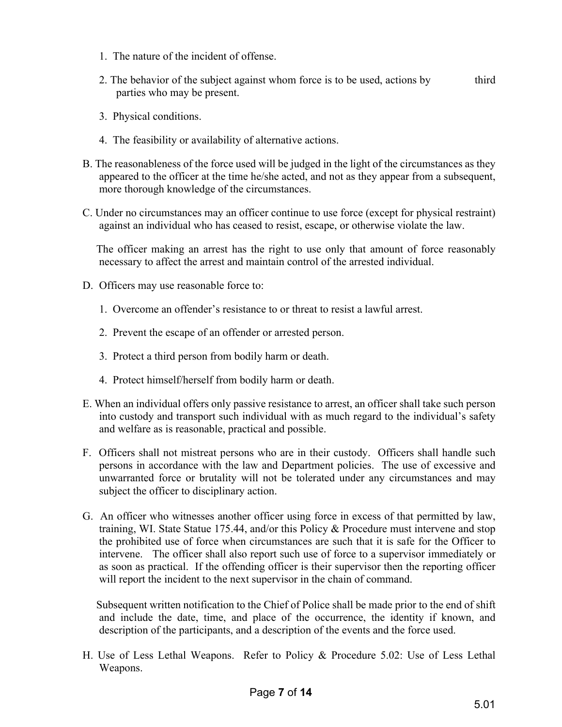- 1. The nature of the incident of offense.
- 2. The behavior of the subject against whom force is to be used, actions by third parties who may be present.
- 3. Physical conditions.
- 4. The feasibility or availability of alternative actions.
- B. The reasonableness of the force used will be judged in the light of the circumstances as they appeared to the officer at the time he/she acted, and not as they appear from a subsequent, more thorough knowledge of the circumstances.
- C. Under no circumstances may an officer continue to use force (except for physical restraint) against an individual who has ceased to resist, escape, or otherwise violate the law.

 The officer making an arrest has the right to use only that amount of force reasonably necessary to affect the arrest and maintain control of the arrested individual.

- D. Officers may use reasonable force to:
	- 1. Overcome an offender's resistance to or threat to resist a lawful arrest.
	- 2. Prevent the escape of an offender or arrested person.
	- 3. Protect a third person from bodily harm or death.
	- 4. Protect himself/herself from bodily harm or death.
- E. When an individual offers only passive resistance to arrest, an officer shall take such person into custody and transport such individual with as much regard to the individual's safety and welfare as is reasonable, practical and possible.
- F. Officers shall not mistreat persons who are in their custody. Officers shall handle such persons in accordance with the law and Department policies. The use of excessive and unwarranted force or brutality will not be tolerated under any circumstances and may subject the officer to disciplinary action.
- G. An officer who witnesses another officer using force in excess of that permitted by law, training, WI. State Statue 175.44, and/or this Policy & Procedure must intervene and stop the prohibited use of force when circumstances are such that it is safe for the Officer to intervene. The officer shall also report such use of force to a supervisor immediately or as soon as practical. If the offending officer is their supervisor then the reporting officer will report the incident to the next supervisor in the chain of command.

 Subsequent written notification to the Chief of Police shall be made prior to the end of shift and include the date, time, and place of the occurrence, the identity if known, and description of the participants, and a description of the events and the force used.

H. Use of Less Lethal Weapons. Refer to Policy & Procedure 5.02: Use of Less Lethal Weapons.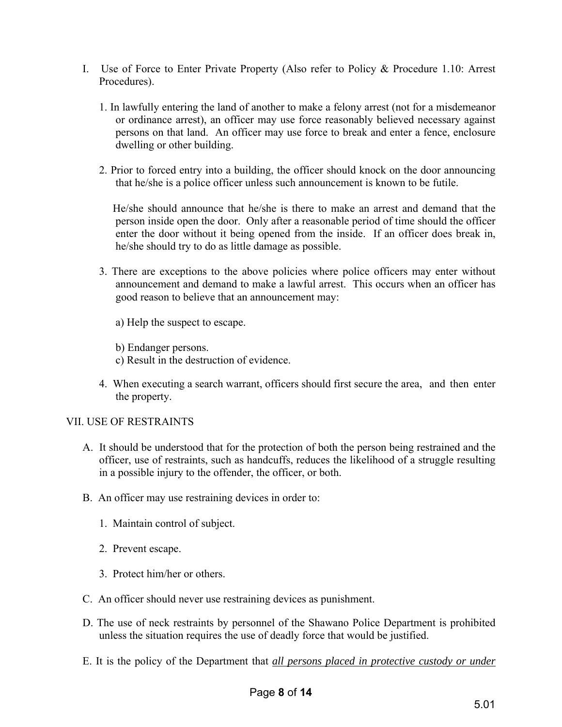- I. Use of Force to Enter Private Property (Also refer to Policy & Procedure 1.10: Arrest Procedures).
	- 1. In lawfully entering the land of another to make a felony arrest (not for a misdemeanor or ordinance arrest), an officer may use force reasonably believed necessary against persons on that land. An officer may use force to break and enter a fence, enclosure dwelling or other building.
	- 2. Prior to forced entry into a building, the officer should knock on the door announcing that he/she is a police officer unless such announcement is known to be futile.

 He/she should announce that he/she is there to make an arrest and demand that the person inside open the door. Only after a reasonable period of time should the officer enter the door without it being opened from the inside. If an officer does break in, he/she should try to do as little damage as possible.

- 3. There are exceptions to the above policies where police officers may enter without announcement and demand to make a lawful arrest. This occurs when an officer has good reason to believe that an announcement may:
	- a) Help the suspect to escape.
	- b) Endanger persons.
	- c) Result in the destruction of evidence.
- 4. When executing a search warrant, officers should first secure the area, and then enter the property.

#### VII. USE OF RESTRAINTS

- A. It should be understood that for the protection of both the person being restrained and the officer, use of restraints, such as handcuffs, reduces the likelihood of a struggle resulting in a possible injury to the offender, the officer, or both.
- B. An officer may use restraining devices in order to:
	- 1. Maintain control of subject.
	- 2. Prevent escape.
	- 3. Protect him/her or others.
- C. An officer should never use restraining devices as punishment.
- D. The use of neck restraints by personnel of the Shawano Police Department is prohibited unless the situation requires the use of deadly force that would be justified.
- E. It is the policy of the Department that *all persons placed in protective custody or under*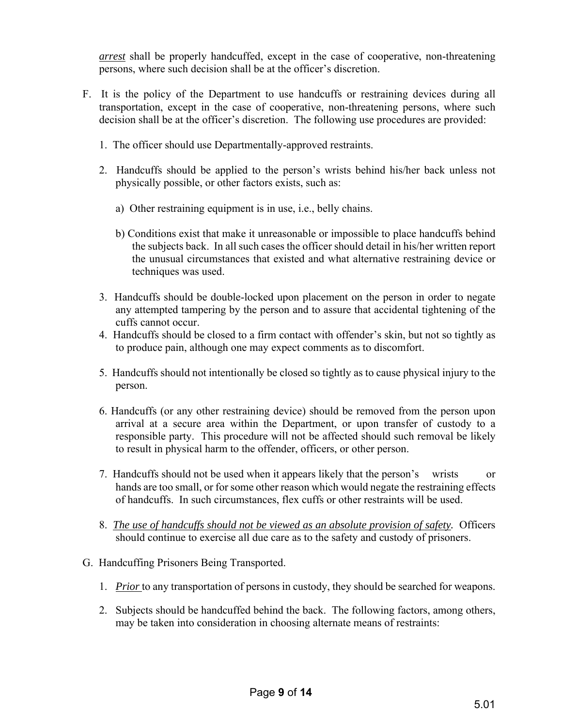*arrest* shall be properly handcuffed, except in the case of cooperative, non-threatening persons, where such decision shall be at the officer's discretion.

- F. It is the policy of the Department to use handcuffs or restraining devices during all transportation, except in the case of cooperative, non-threatening persons, where such decision shall be at the officer's discretion. The following use procedures are provided:
	- 1. The officer should use Departmentally-approved restraints.
	- 2. Handcuffs should be applied to the person's wrists behind his/her back unless not physically possible, or other factors exists, such as:
		- a) Other restraining equipment is in use, i.e., belly chains.
		- b) Conditions exist that make it unreasonable or impossible to place handcuffs behind the subjects back. In all such cases the officer should detail in his/her written report the unusual circumstances that existed and what alternative restraining device or techniques was used.
	- 3. Handcuffs should be double-locked upon placement on the person in order to negate any attempted tampering by the person and to assure that accidental tightening of the cuffs cannot occur.
	- 4. Handcuffs should be closed to a firm contact with offender's skin, but not so tightly as to produce pain, although one may expect comments as to discomfort.
	- 5. Handcuffs should not intentionally be closed so tightly as to cause physical injury to the person.
	- 6. Handcuffs (or any other restraining device) should be removed from the person upon arrival at a secure area within the Department, or upon transfer of custody to a responsible party. This procedure will not be affected should such removal be likely to result in physical harm to the offender, officers, or other person.
	- 7. Handcuffs should not be used when it appears likely that the person's wrists or hands are too small, or for some other reason which would negate the restraining effects of handcuffs. In such circumstances, flex cuffs or other restraints will be used.
	- 8. *The use of handcuffs should not be viewed as an absolute provision of safety.* Officers should continue to exercise all due care as to the safety and custody of prisoners.
- G. Handcuffing Prisoners Being Transported.
	- 1. *Prior* to any transportation of persons in custody, they should be searched for weapons.
	- 2. Subjects should be handcuffed behind the back. The following factors, among others, may be taken into consideration in choosing alternate means of restraints: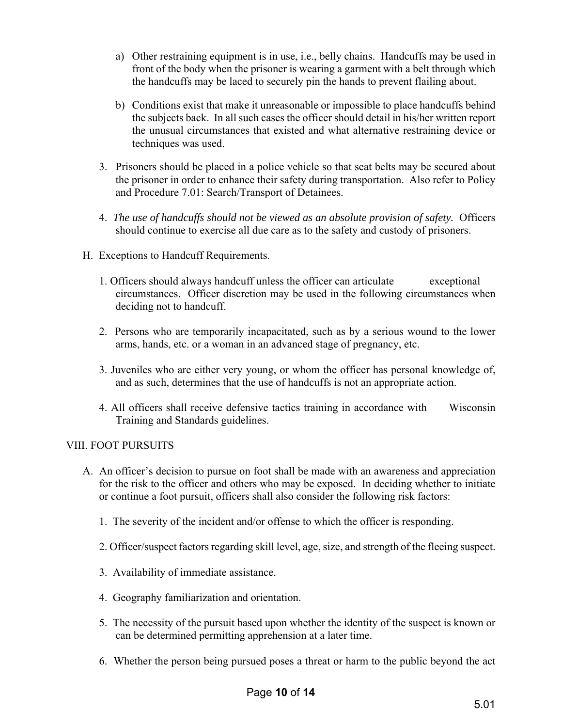- a) Other restraining equipment is in use, i.e., belly chains. Handcuffs may be used in front of the body when the prisoner is wearing a garment with a belt through which the handcuffs may be laced to securely pin the hands to prevent flailing about.
- b) Conditions exist that make it unreasonable or impossible to place handcuffs behind the subjects back. In all such cases the officer should detail in his/her written report the unusual circumstances that existed and what alternative restraining device or techniques was used.
- 3. Prisoners should be placed in a police vehicle so that seat belts may be secured about the prisoner in order to enhance their safety during transportation. Also refer to Policy and Procedure 7.01: Search/Transport of Detainees.
- 4. *The use of handcuffs should not be viewed as an absolute provision of safety.* Officers should continue to exercise all due care as to the safety and custody of prisoners.
- H. Exceptions to Handcuff Requirements.
	- 1. Officers should always handcuff unless the officer can articulate exceptional circumstances. Officer discretion may be used in the following circumstances when deciding not to handcuff.
	- 2. Persons who are temporarily incapacitated, such as by a serious wound to the lower arms, hands, etc. or a woman in an advanced stage of pregnancy, etc.
	- 3. Juveniles who are either very young, or whom the officer has personal knowledge of, and as such, determines that the use of handcuffs is not an appropriate action.
	- 4. All officers shall receive defensive tactics training in accordance with Wisconsin Training and Standards guidelines.

# VIII. FOOT PURSUITS

- A. An officer's decision to pursue on foot shall be made with an awareness and appreciation for the risk to the officer and others who may be exposed. In deciding whether to initiate or continue a foot pursuit, officers shall also consider the following risk factors:
	- 1. The severity of the incident and/or offense to which the officer is responding.
	- 2. Officer/suspect factors regarding skill level, age, size, and strength of the fleeing suspect.
	- 3. Availability of immediate assistance.
	- 4. Geography familiarization and orientation.
	- 5. The necessity of the pursuit based upon whether the identity of the suspect is known or can be determined permitting apprehension at a later time.
	- 6. Whether the person being pursued poses a threat or harm to the public beyond the act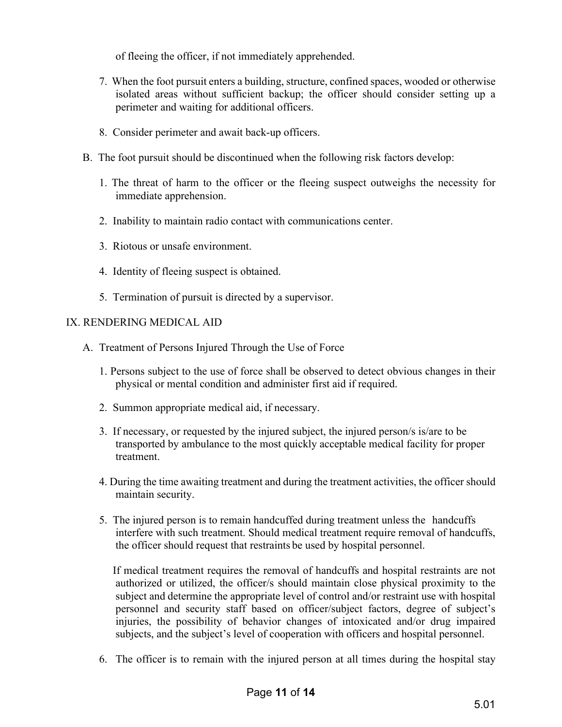of fleeing the officer, if not immediately apprehended.

- 7. When the foot pursuit enters a building, structure, confined spaces, wooded or otherwise isolated areas without sufficient backup; the officer should consider setting up a perimeter and waiting for additional officers.
- 8. Consider perimeter and await back-up officers.
- B. The foot pursuit should be discontinued when the following risk factors develop:
	- 1. The threat of harm to the officer or the fleeing suspect outweighs the necessity for immediate apprehension.
	- 2. Inability to maintain radio contact with communications center.
	- 3. Riotous or unsafe environment.
	- 4. Identity of fleeing suspect is obtained.
	- 5. Termination of pursuit is directed by a supervisor.

#### IX. RENDERING MEDICAL AID

- A. Treatment of Persons Injured Through the Use of Force
	- 1. Persons subject to the use of force shall be observed to detect obvious changes in their physical or mental condition and administer first aid if required.
	- 2. Summon appropriate medical aid, if necessary.
	- 3. If necessary, or requested by the injured subject, the injured person/s is/are to be transported by ambulance to the most quickly acceptable medical facility for proper treatment.
	- 4. During the time awaiting treatment and during the treatment activities, the officer should maintain security.
	- 5. The injured person is to remain handcuffed during treatment unless the handcuffs interfere with such treatment. Should medical treatment require removal of handcuffs, the officer should request that restraints be used by hospital personnel.

 If medical treatment requires the removal of handcuffs and hospital restraints are not authorized or utilized, the officer/s should maintain close physical proximity to the subject and determine the appropriate level of control and/or restraint use with hospital personnel and security staff based on officer/subject factors, degree of subject's injuries, the possibility of behavior changes of intoxicated and/or drug impaired subjects, and the subject's level of cooperation with officers and hospital personnel.

6. The officer is to remain with the injured person at all times during the hospital stay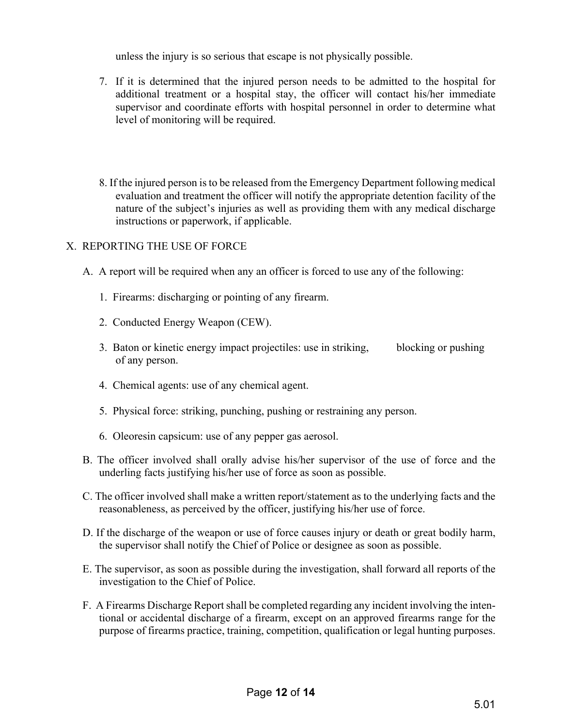unless the injury is so serious that escape is not physically possible.

- 7. If it is determined that the injured person needs to be admitted to the hospital for additional treatment or a hospital stay, the officer will contact his/her immediate supervisor and coordinate efforts with hospital personnel in order to determine what level of monitoring will be required.
- 8. If the injured person is to be released from the Emergency Department following medical evaluation and treatment the officer will notify the appropriate detention facility of the nature of the subject's injuries as well as providing them with any medical discharge instructions or paperwork, if applicable.

# X. REPORTING THE USE OF FORCE

- A. A report will be required when any an officer is forced to use any of the following:
	- 1. Firearms: discharging or pointing of any firearm.
	- 2. Conducted Energy Weapon (CEW).
	- 3. Baton or kinetic energy impact projectiles: use in striking, blocking or pushing of any person.
	- 4. Chemical agents: use of any chemical agent.
	- 5. Physical force: striking, punching, pushing or restraining any person.
	- 6. Oleoresin capsicum: use of any pepper gas aerosol.
- B. The officer involved shall orally advise his/her supervisor of the use of force and the underling facts justifying his/her use of force as soon as possible.
- C. The officer involved shall make a written report/statement as to the underlying facts and the reasonableness, as perceived by the officer, justifying his/her use of force.
- D. If the discharge of the weapon or use of force causes injury or death or great bodily harm, the supervisor shall notify the Chief of Police or designee as soon as possible.
- E. The supervisor, as soon as possible during the investigation, shall forward all reports of the investigation to the Chief of Police.
- F. A Firearms Discharge Report shall be completed regarding any incident involving the intentional or accidental discharge of a firearm, except on an approved firearms range for the purpose of firearms practice, training, competition, qualification or legal hunting purposes.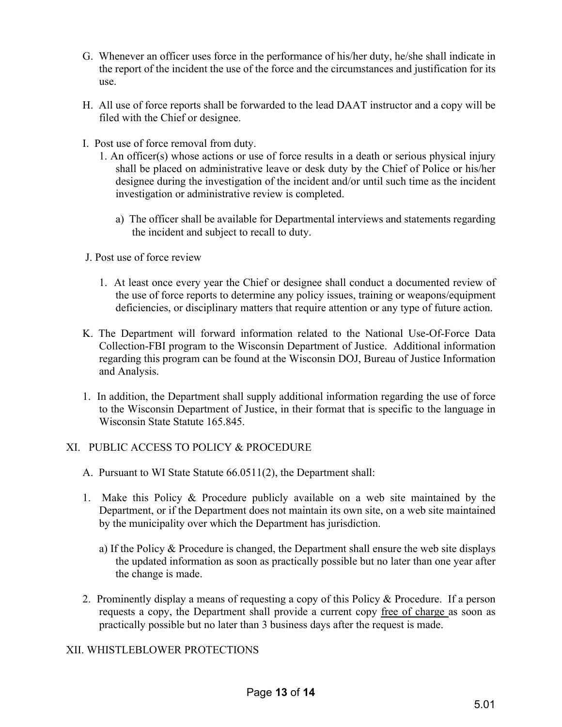- G. Whenever an officer uses force in the performance of his/her duty, he/she shall indicate in the report of the incident the use of the force and the circumstances and justification for its use.
- H. All use of force reports shall be forwarded to the lead DAAT instructor and a copy will be filed with the Chief or designee.
- I. Post use of force removal from duty.
	- 1. An officer(s) whose actions or use of force results in a death or serious physical injury shall be placed on administrative leave or desk duty by the Chief of Police or his/her designee during the investigation of the incident and/or until such time as the incident investigation or administrative review is completed.
		- a) The officer shall be available for Departmental interviews and statements regarding the incident and subject to recall to duty.
- J. Post use of force review
	- 1. At least once every year the Chief or designee shall conduct a documented review of the use of force reports to determine any policy issues, training or weapons/equipment deficiencies, or disciplinary matters that require attention or any type of future action.
- K. The Department will forward information related to the National Use-Of-Force Data Collection-FBI program to the Wisconsin Department of Justice. Additional information regarding this program can be found at the Wisconsin DOJ, Bureau of Justice Information and Analysis.
- 1. In addition, the Department shall supply additional information regarding the use of force to the Wisconsin Department of Justice, in their format that is specific to the language in Wisconsin State Statute 165.845.

# XI. PUBLIC ACCESS TO POLICY & PROCEDURE

- A. Pursuant to WI State Statute 66.0511(2), the Department shall:
- 1. Make this Policy & Procedure publicly available on a web site maintained by the Department, or if the Department does not maintain its own site, on a web site maintained by the municipality over which the Department has jurisdiction.
	- a) If the Policy & Procedure is changed, the Department shall ensure the web site displays the updated information as soon as practically possible but no later than one year after the change is made.
- 2. Prominently display a means of requesting a copy of this Policy & Procedure. If a person requests a copy, the Department shall provide a current copy free of charge as soon as practically possible but no later than 3 business days after the request is made.

# XII. WHISTLEBLOWER PROTECTIONS